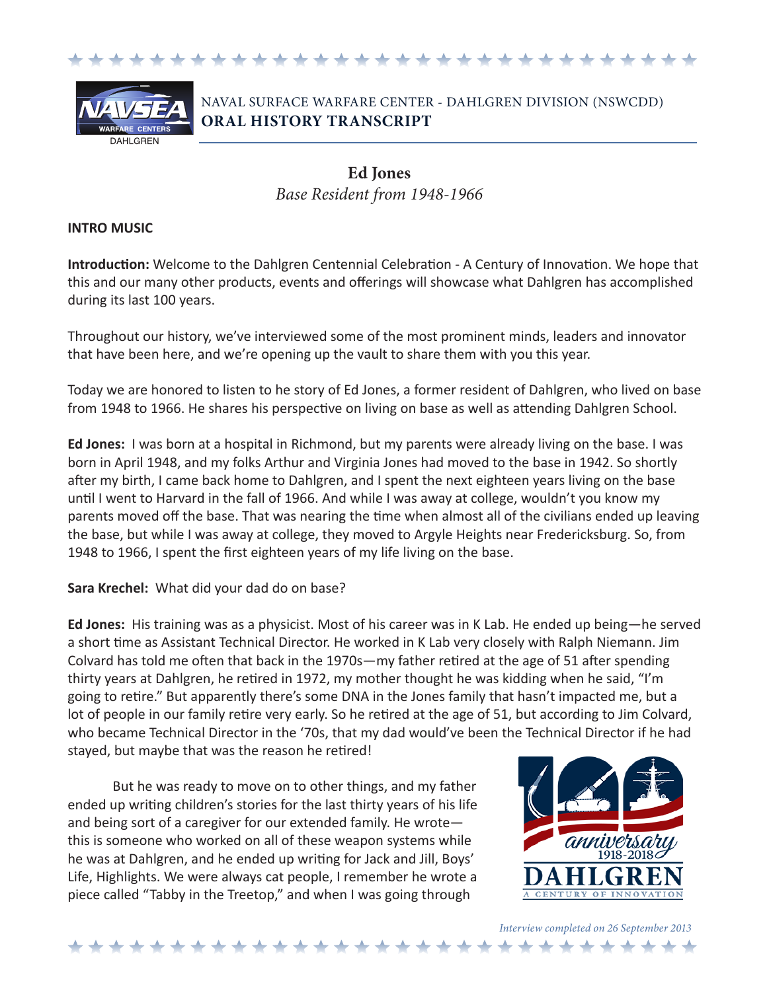



# NAVAL SURFACE WARFARE CENTER - DAHLGREN DIVISION (NSWCDD) **ORAL HISTORY TRANSCRIPT**

# **Ed Jones** *Base Resident from 1948-1966*

#### **INTRO MUSIC**

**Introduction:** Welcome to the Dahlgren Centennial Celebration - A Century of Innovation. We hope that this and our many other products, events and offerings will showcase what Dahlgren has accomplished during its last 100 years.

Throughout our history, we've interviewed some of the most prominent minds, leaders and innovator that have been here, and we're opening up the vault to share them with you this year.

Today we are honored to listen to he story of Ed Jones, a former resident of Dahlgren, who lived on base from 1948 to 1966. He shares his perspective on living on base as well as attending Dahlgren School.

**Ed Jones:** I was born at a hospital in Richmond, but my parents were already living on the base. I was born in April 1948, and my folks Arthur and Virginia Jones had moved to the base in 1942. So shortly after my birth, I came back home to Dahlgren, and I spent the next eighteen years living on the base until I went to Harvard in the fall of 1966. And while I was away at college, wouldn't you know my parents moved off the base. That was nearing the time when almost all of the civilians ended up leaving the base, but while I was away at college, they moved to Argyle Heights near Fredericksburg. So, from 1948 to 1966, I spent the first eighteen years of my life living on the base.

**Sara Krechel:** What did your dad do on base?

**Ed Jones:** His training was as a physicist. Most of his career was in K Lab. He ended up being—he served a short time as Assistant Technical Director. He worked in K Lab very closely with Ralph Niemann. Jim Colvard has told me often that back in the 1970s—my father retired at the age of 51 after spending thirty years at Dahlgren, he retired in 1972, my mother thought he was kidding when he said, "I'm going to retire." But apparently there's some DNA in the Jones family that hasn't impacted me, but a lot of people in our family retire very early. So he retired at the age of 51, but according to Jim Colvard, who became Technical Director in the '70s, that my dad would've been the Technical Director if he had stayed, but maybe that was the reason he retired!

But he was ready to move on to other things, and my father ended up writing children's stories for the last thirty years of his life and being sort of a caregiver for our extended family. He wrote this is someone who worked on all of these weapon systems while he was at Dahlgren, and he ended up writing for Jack and Jill, Boys' Life, Highlights. We were always cat people, I remember he wrote a piece called "Tabby in the Treetop," and when I was going through

\*\*\*\*\*\*\*\*\*\*\*\*\*\*\*\*\*



*Interview completed on 26 September 2013*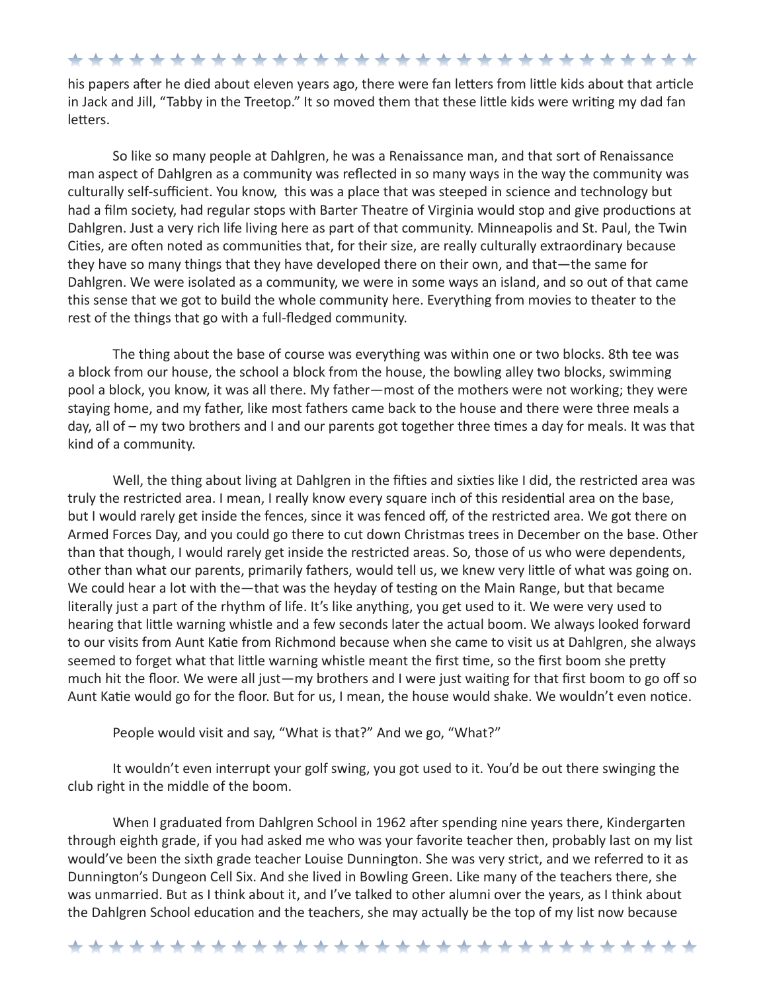\*\*\*\*\*\*\*\*\*\*\*\*\*\*\*\*\*\*\*\*\*\*\*\*\*\*\*\*\*\*\*

his papers after he died about eleven years ago, there were fan letters from little kids about that article in Jack and Jill, "Tabby in the Treetop." It so moved them that these little kids were writing my dad fan letters.

So like so many people at Dahlgren, he was a Renaissance man, and that sort of Renaissance man aspect of Dahlgren as a community was reflected in so many ways in the way the community was culturally self-sufficient. You know, this was a place that was steeped in science and technology but had a film society, had regular stops with Barter Theatre of Virginia would stop and give productions at Dahlgren. Just a very rich life living here as part of that community. Minneapolis and St. Paul, the Twin Cities, are often noted as communities that, for their size, are really culturally extraordinary because they have so many things that they have developed there on their own, and that—the same for Dahlgren. We were isolated as a community, we were in some ways an island, and so out of that came this sense that we got to build the whole community here. Everything from movies to theater to the rest of the things that go with a full-fledged community.

The thing about the base of course was everything was within one or two blocks. 8th tee was a block from our house, the school a block from the house, the bowling alley two blocks, swimming pool a block, you know, it was all there. My father—most of the mothers were not working; they were staying home, and my father, like most fathers came back to the house and there were three meals a day, all of – my two brothers and I and our parents got together three times a day for meals. It was that kind of a community.

Well, the thing about living at Dahlgren in the fifties and sixties like I did, the restricted area was truly the restricted area. I mean, I really know every square inch of this residential area on the base, but I would rarely get inside the fences, since it was fenced off, of the restricted area. We got there on Armed Forces Day, and you could go there to cut down Christmas trees in December on the base. Other than that though, I would rarely get inside the restricted areas. So, those of us who were dependents, other than what our parents, primarily fathers, would tell us, we knew very little of what was going on. We could hear a lot with the—that was the heyday of testing on the Main Range, but that became literally just a part of the rhythm of life. It's like anything, you get used to it. We were very used to hearing that little warning whistle and a few seconds later the actual boom. We always looked forward to our visits from Aunt Katie from Richmond because when she came to visit us at Dahlgren, she always seemed to forget what that little warning whistle meant the first time, so the first boom she pretty much hit the floor. We were all just—my brothers and I were just waiting for that first boom to go off so Aunt Katie would go for the floor. But for us, I mean, the house would shake. We wouldn't even notice.

People would visit and say, "What is that?" And we go, "What?"

It wouldn't even interrupt your golf swing, you got used to it. You'd be out there swinging the club right in the middle of the boom.

When I graduated from Dahlgren School in 1962 after spending nine years there, Kindergarten through eighth grade, if you had asked me who was your favorite teacher then, probably last on my list would've been the sixth grade teacher Louise Dunnington. She was very strict, and we referred to it as Dunnington's Dungeon Cell Six. And she lived in Bowling Green. Like many of the teachers there, she was unmarried. But as I think about it, and I've talked to other alumni over the years, as I think about the Dahlgren School education and the teachers, she may actually be the top of my list now because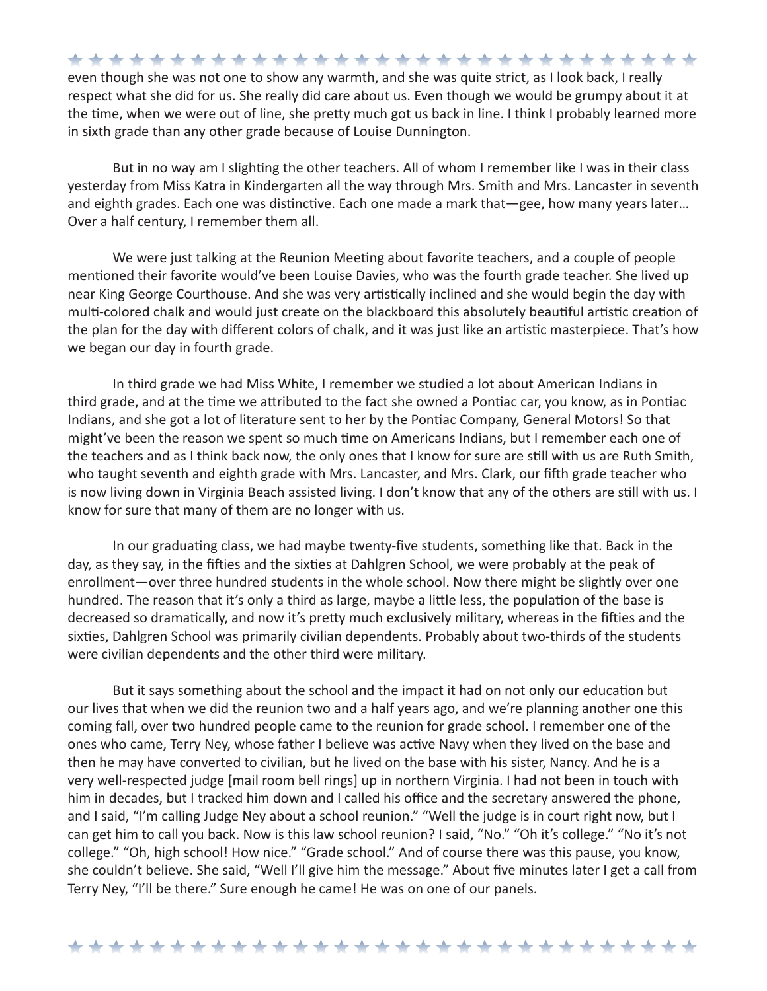\*\*\*\*\*\*\*\*\*\*\*\*\*\*\*\*\*\*\*\*\*\*\*\*\*\*\*\*\*\*\* even though she was not one to show any warmth, and she was quite strict, as I look back, I really respect what she did for us. She really did care about us. Even though we would be grumpy about it at the time, when we were out of line, she pretty much got us back in line. I think I probably learned more in sixth grade than any other grade because of Louise Dunnington.

But in no way am I slighting the other teachers. All of whom I remember like I was in their class yesterday from Miss Katra in Kindergarten all the way through Mrs. Smith and Mrs. Lancaster in seventh and eighth grades. Each one was distinctive. Each one made a mark that—gee, how many years later… Over a half century, I remember them all.

We were just talking at the Reunion Meeting about favorite teachers, and a couple of people mentioned their favorite would've been Louise Davies, who was the fourth grade teacher. She lived up near King George Courthouse. And she was very artistically inclined and she would begin the day with multi-colored chalk and would just create on the blackboard this absolutely beautiful artistic creation of the plan for the day with different colors of chalk, and it was just like an artistic masterpiece. That's how we began our day in fourth grade.

In third grade we had Miss White, I remember we studied a lot about American Indians in third grade, and at the time we attributed to the fact she owned a Pontiac car, you know, as in Pontiac Indians, and she got a lot of literature sent to her by the Pontiac Company, General Motors! So that might've been the reason we spent so much time on Americans Indians, but I remember each one of the teachers and as I think back now, the only ones that I know for sure are still with us are Ruth Smith, who taught seventh and eighth grade with Mrs. Lancaster, and Mrs. Clark, our fifth grade teacher who is now living down in Virginia Beach assisted living. I don't know that any of the others are still with us. I know for sure that many of them are no longer with us.

In our graduating class, we had maybe twenty-five students, something like that. Back in the day, as they say, in the fifties and the sixties at Dahlgren School, we were probably at the peak of enrollment—over three hundred students in the whole school. Now there might be slightly over one hundred. The reason that it's only a third as large, maybe a little less, the population of the base is decreased so dramatically, and now it's pretty much exclusively military, whereas in the fifties and the sixties, Dahlgren School was primarily civilian dependents. Probably about two-thirds of the students were civilian dependents and the other third were military.

But it says something about the school and the impact it had on not only our education but our lives that when we did the reunion two and a half years ago, and we're planning another one this coming fall, over two hundred people came to the reunion for grade school. I remember one of the ones who came, Terry Ney, whose father I believe was active Navy when they lived on the base and then he may have converted to civilian, but he lived on the base with his sister, Nancy. And he is a very well-respected judge [mail room bell rings] up in northern Virginia. I had not been in touch with him in decades, but I tracked him down and I called his office and the secretary answered the phone, and I said, "I'm calling Judge Ney about a school reunion." "Well the judge is in court right now, but I can get him to call you back. Now is this law school reunion? I said, "No." "Oh it's college." "No it's not college." "Oh, high school! How nice." "Grade school." And of course there was this pause, you know, she couldn't believe. She said, "Well I'll give him the message." About five minutes later I get a call from Terry Ney, "I'll be there." Sure enough he came! He was on one of our panels.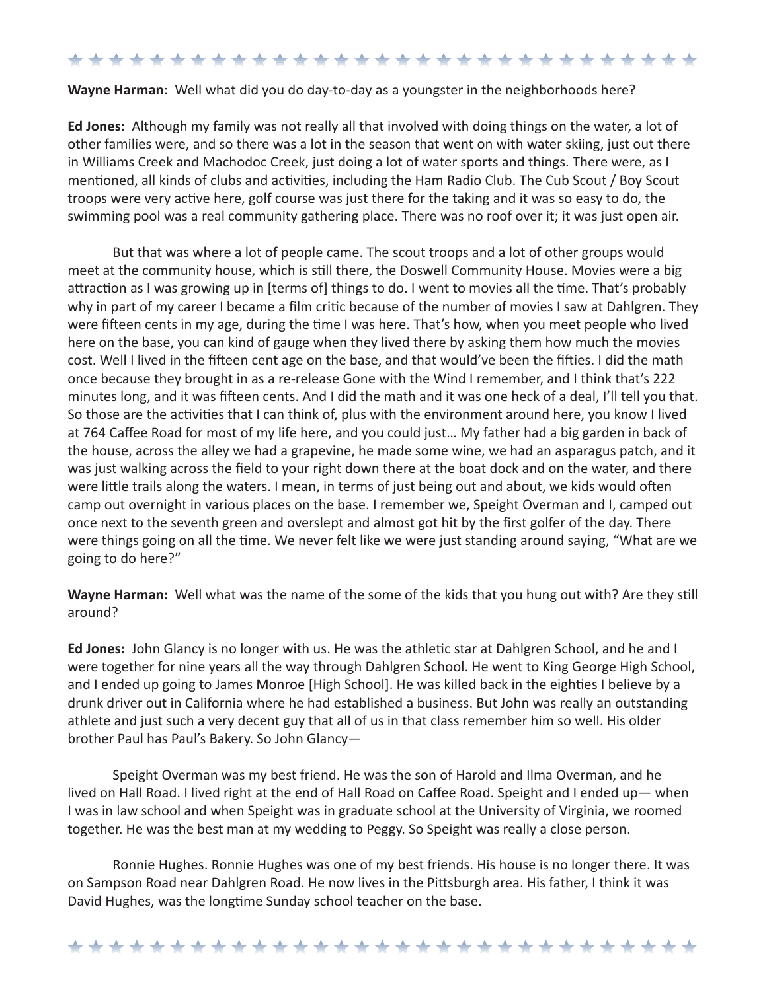### \*\*\*\*\*\*\*\*\*\*\*\*\*\*\*\*\*\*\*\*\*\*\*\*\*\*\*\*\*\*

#### **Wayne Harman**: Well what did you do day-to-day as a youngster in the neighborhoods here?

**Ed Jones:** Although my family was not really all that involved with doing things on the water, a lot of other families were, and so there was a lot in the season that went on with water skiing, just out there in Williams Creek and Machodoc Creek, just doing a lot of water sports and things. There were, as I mentioned, all kinds of clubs and activities, including the Ham Radio Club. The Cub Scout / Boy Scout troops were very active here, golf course was just there for the taking and it was so easy to do, the swimming pool was a real community gathering place. There was no roof over it; it was just open air.

But that was where a lot of people came. The scout troops and a lot of other groups would meet at the community house, which is still there, the Doswell Community House. Movies were a big attraction as I was growing up in [terms of] things to do. I went to movies all the time. That's probably why in part of my career I became a film critic because of the number of movies I saw at Dahlgren. They were fifteen cents in my age, during the time I was here. That's how, when you meet people who lived here on the base, you can kind of gauge when they lived there by asking them how much the movies cost. Well I lived in the fifteen cent age on the base, and that would've been the fifties. I did the math once because they brought in as a re-release Gone with the Wind I remember, and I think that's 222 minutes long, and it was fifteen cents. And I did the math and it was one heck of a deal, I'll tell you that. So those are the activities that I can think of, plus with the environment around here, you know I lived at 764 Caffee Road for most of my life here, and you could just… My father had a big garden in back of the house, across the alley we had a grapevine, he made some wine, we had an asparagus patch, and it was just walking across the field to your right down there at the boat dock and on the water, and there were little trails along the waters. I mean, in terms of just being out and about, we kids would often camp out overnight in various places on the base. I remember we, Speight Overman and I, camped out once next to the seventh green and overslept and almost got hit by the first golfer of the day. There were things going on all the time. We never felt like we were just standing around saying, "What are we going to do here?"

**Wayne Harman:** Well what was the name of the some of the kids that you hung out with? Are they still around?

**Ed Jones:** John Glancy is no longer with us. He was the athletic star at Dahlgren School, and he and I were together for nine years all the way through Dahlgren School. He went to King George High School, and I ended up going to James Monroe [High School]. He was killed back in the eighties I believe by a drunk driver out in California where he had established a business. But John was really an outstanding athlete and just such a very decent guy that all of us in that class remember him so well. His older brother Paul has Paul's Bakery. So John Glancy—

Speight Overman was my best friend. He was the son of Harold and Ilma Overman, and he lived on Hall Road. I lived right at the end of Hall Road on Caffee Road. Speight and I ended up— when I was in law school and when Speight was in graduate school at the University of Virginia, we roomed together. He was the best man at my wedding to Peggy. So Speight was really a close person.

Ronnie Hughes. Ronnie Hughes was one of my best friends. His house is no longer there. It was on Sampson Road near Dahlgren Road. He now lives in the Pittsburgh area. His father, I think it was David Hughes, was the longtime Sunday school teacher on the base.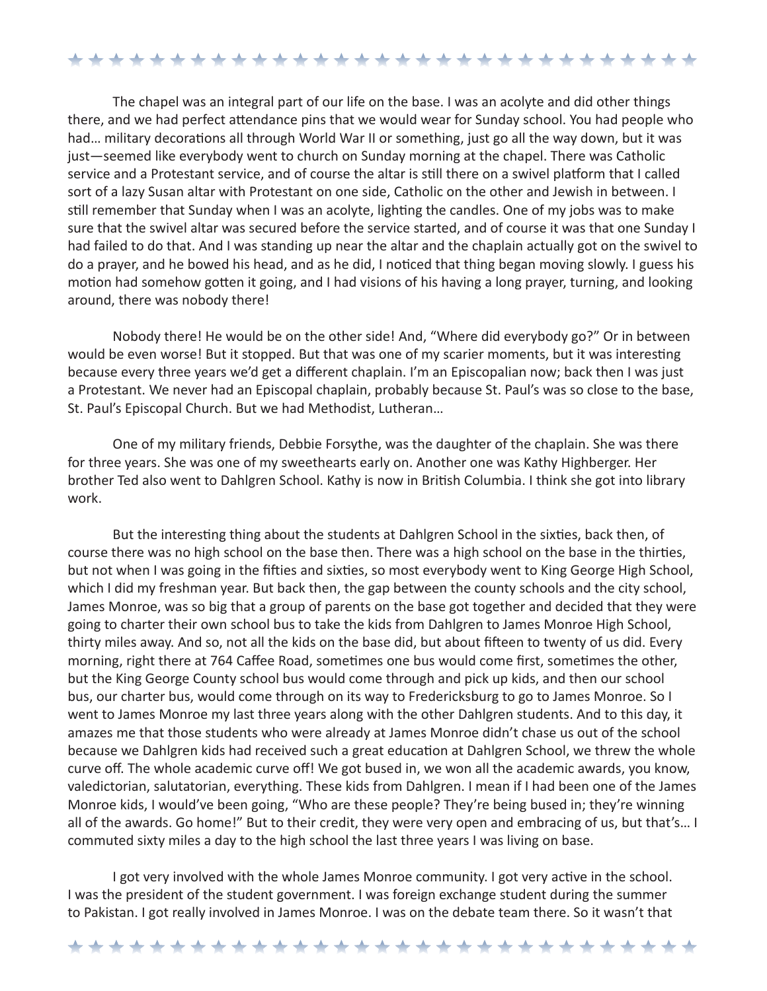## \*\*\*\*\*\*\*\*\*\*\*\*\*\*\*\*\*\*\*\*\*\*\*\*\*\*\*\*\*\*\*

The chapel was an integral part of our life on the base. I was an acolyte and did other things there, and we had perfect attendance pins that we would wear for Sunday school. You had people who had… military decorations all through World War II or something, just go all the way down, but it was just—seemed like everybody went to church on Sunday morning at the chapel. There was Catholic service and a Protestant service, and of course the altar is still there on a swivel platform that I called sort of a lazy Susan altar with Protestant on one side, Catholic on the other and Jewish in between. I still remember that Sunday when I was an acolyte, lighting the candles. One of my jobs was to make sure that the swivel altar was secured before the service started, and of course it was that one Sunday I had failed to do that. And I was standing up near the altar and the chaplain actually got on the swivel to do a prayer, and he bowed his head, and as he did, I noticed that thing began moving slowly. I guess his motion had somehow gotten it going, and I had visions of his having a long prayer, turning, and looking around, there was nobody there!

Nobody there! He would be on the other side! And, "Where did everybody go?" Or in between would be even worse! But it stopped. But that was one of my scarier moments, but it was interesting because every three years we'd get a different chaplain. I'm an Episcopalian now; back then I was just a Protestant. We never had an Episcopal chaplain, probably because St. Paul's was so close to the base, St. Paul's Episcopal Church. But we had Methodist, Lutheran…

One of my military friends, Debbie Forsythe, was the daughter of the chaplain. She was there for three years. She was one of my sweethearts early on. Another one was Kathy Highberger. Her brother Ted also went to Dahlgren School. Kathy is now in British Columbia. I think she got into library work.

But the interesting thing about the students at Dahlgren School in the sixties, back then, of course there was no high school on the base then. There was a high school on the base in the thirties, but not when I was going in the fifties and sixties, so most everybody went to King George High School, which I did my freshman year. But back then, the gap between the county schools and the city school, James Monroe, was so big that a group of parents on the base got together and decided that they were going to charter their own school bus to take the kids from Dahlgren to James Monroe High School, thirty miles away. And so, not all the kids on the base did, but about fifteen to twenty of us did. Every morning, right there at 764 Caffee Road, sometimes one bus would come first, sometimes the other, but the King George County school bus would come through and pick up kids, and then our school bus, our charter bus, would come through on its way to Fredericksburg to go to James Monroe. So I went to James Monroe my last three years along with the other Dahlgren students. And to this day, it amazes me that those students who were already at James Monroe didn't chase us out of the school because we Dahlgren kids had received such a great education at Dahlgren School, we threw the whole curve off. The whole academic curve off! We got bused in, we won all the academic awards, you know, valedictorian, salutatorian, everything. These kids from Dahlgren. I mean if I had been one of the James Monroe kids, I would've been going, "Who are these people? They're being bused in; they're winning all of the awards. Go home!" But to their credit, they were very open and embracing of us, but that's... I commuted sixty miles a day to the high school the last three years I was living on base.

I got very involved with the whole James Monroe community. I got very active in the school. I was the president of the student government. I was foreign exchange student during the summer to Pakistan. I got really involved in James Monroe. I was on the debate team there. So it wasn't that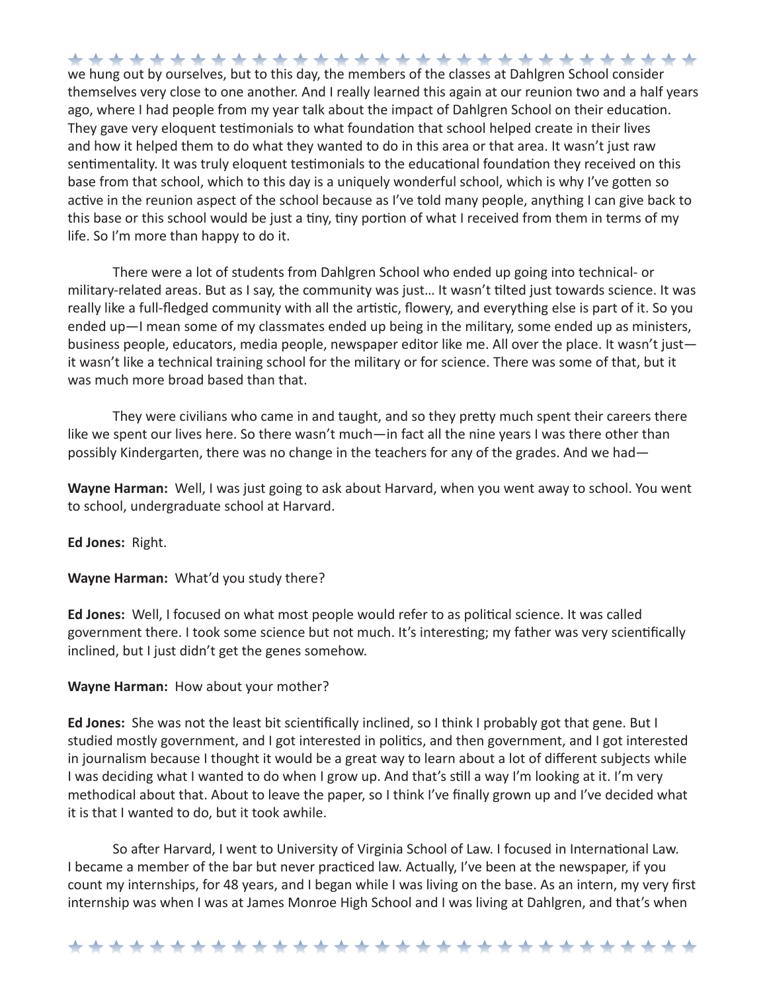we hung out by ourselves, but to this day, the members of the classes at Dahlgren School consider themselves very close to one another. And I really learned this again at our reunion two and a half years ago, where I had people from my year talk about the impact of Dahlgren School on their education. They gave very eloquent testimonials to what foundation that school helped create in their lives and how it helped them to do what they wanted to do in this area or that area. It wasn't just raw sentimentality. It was truly eloquent testimonials to the educational foundation they received on this base from that school, which to this day is a uniquely wonderful school, which is why I've gotten so active in the reunion aspect of the school because as I've told many people, anything I can give back to this base or this school would be just a tiny, tiny portion of what I received from them in terms of my life. So I'm more than happy to do it.

There were a lot of students from Dahlgren School who ended up going into technical- or military-related areas. But as I say, the community was just… It wasn't tilted just towards science. It was really like a full-fledged community with all the artistic, flowery, and everything else is part of it. So you ended up—I mean some of my classmates ended up being in the military, some ended up as ministers, business people, educators, media people, newspaper editor like me. All over the place. It wasn't just it wasn't like a technical training school for the military or for science. There was some of that, but it was much more broad based than that.

They were civilians who came in and taught, and so they pretty much spent their careers there like we spent our lives here. So there wasn't much—in fact all the nine years I was there other than possibly Kindergarten, there was no change in the teachers for any of the grades. And we had—

**Wayne Harman:** Well, I was just going to ask about Harvard, when you went away to school. You went to school, undergraduate school at Harvard.

**Ed Jones:** Right.

**Wayne Harman:** What'd you study there?

**Ed Jones:** Well, I focused on what most people would refer to as political science. It was called government there. I took some science but not much. It's interesting; my father was very scientifically inclined, but I just didn't get the genes somehow.

**Wayne Harman:** How about your mother?

**Ed Jones:** She was not the least bit scientifically inclined, so I think I probably got that gene. But I studied mostly government, and I got interested in politics, and then government, and I got interested in journalism because I thought it would be a great way to learn about a lot of different subjects while I was deciding what I wanted to do when I grow up. And that's still a way I'm looking at it. I'm very methodical about that. About to leave the paper, so I think I've finally grown up and I've decided what it is that I wanted to do, but it took awhile.

So after Harvard, I went to University of Virginia School of Law. I focused in International Law. I became a member of the bar but never practiced law. Actually, I've been at the newspaper, if you count my internships, for 48 years, and I began while I was living on the base. As an intern, my very first internship was when I was at James Monroe High School and I was living at Dahlgren, and that's when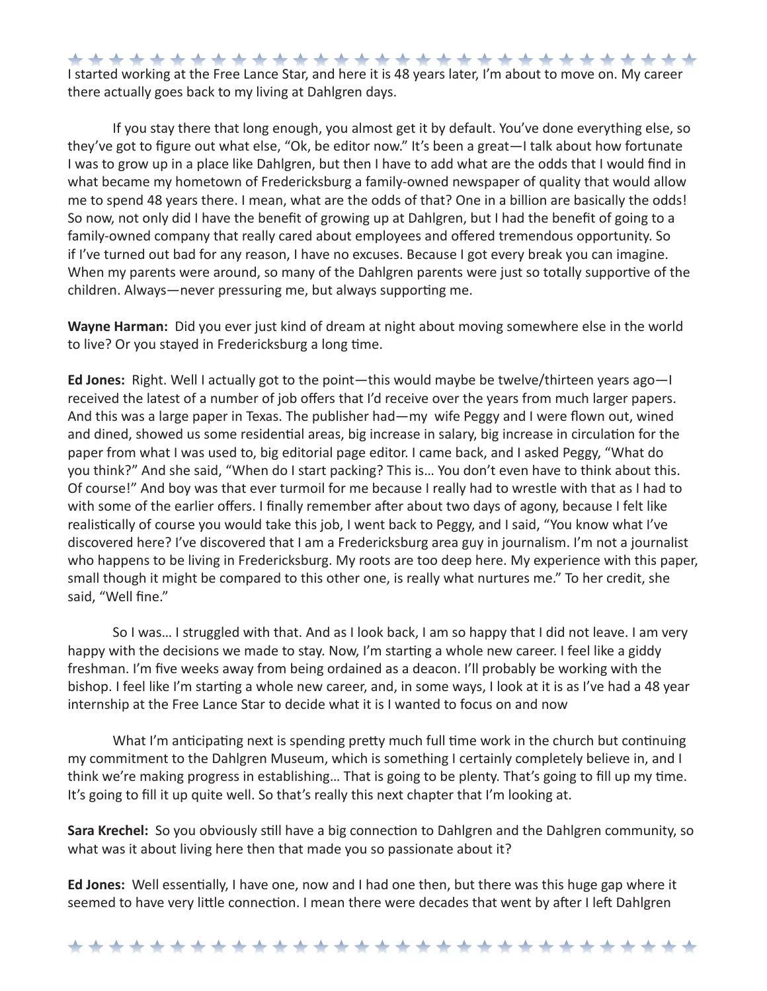\*\*\*\*\*\*\*\*\*\*\*\*\*\*\*\*\*\*\*\*\*\*\*\*\*\*\*\*\*\*\* I started working at the Free Lance Star, and here it is 48 years later, I'm about to move on. My career there actually goes back to my living at Dahlgren days.

If you stay there that long enough, you almost get it by default. You've done everything else, so they've got to figure out what else, "Ok, be editor now." It's been a great—I talk about how fortunate I was to grow up in a place like Dahlgren, but then I have to add what are the odds that I would find in what became my hometown of Fredericksburg a family-owned newspaper of quality that would allow me to spend 48 years there. I mean, what are the odds of that? One in a billion are basically the odds! So now, not only did I have the benefit of growing up at Dahlgren, but I had the benefit of going to a family-owned company that really cared about employees and offered tremendous opportunity. So if I've turned out bad for any reason, I have no excuses. Because I got every break you can imagine. When my parents were around, so many of the Dahlgren parents were just so totally supportive of the children. Always—never pressuring me, but always supporting me.

**Wayne Harman:** Did you ever just kind of dream at night about moving somewhere else in the world to live? Or you stayed in Fredericksburg a long time.

**Ed Jones:** Right. Well I actually got to the point—this would maybe be twelve/thirteen years ago—I received the latest of a number of job offers that I'd receive over the years from much larger papers. And this was a large paper in Texas. The publisher had—my wife Peggy and I were flown out, wined and dined, showed us some residential areas, big increase in salary, big increase in circulation for the paper from what I was used to, big editorial page editor. I came back, and I asked Peggy, "What do you think?" And she said, "When do I start packing? This is… You don't even have to think about this. Of course!" And boy was that ever turmoil for me because I really had to wrestle with that as I had to with some of the earlier offers. I finally remember after about two days of agony, because I felt like realistically of course you would take this job, I went back to Peggy, and I said, "You know what I've discovered here? I've discovered that I am a Fredericksburg area guy in journalism. I'm not a journalist who happens to be living in Fredericksburg. My roots are too deep here. My experience with this paper, small though it might be compared to this other one, is really what nurtures me." To her credit, she said, "Well fine."

So I was… I struggled with that. And as I look back, I am so happy that I did not leave. I am very happy with the decisions we made to stay. Now, I'm starting a whole new career. I feel like a giddy freshman. I'm five weeks away from being ordained as a deacon. I'll probably be working with the bishop. I feel like I'm starting a whole new career, and, in some ways, I look at it is as I've had a 48 year internship at the Free Lance Star to decide what it is I wanted to focus on and now

What I'm anticipating next is spending pretty much full time work in the church but continuing my commitment to the Dahlgren Museum, which is something I certainly completely believe in, and I think we're making progress in establishing… That is going to be plenty. That's going to fill up my time. It's going to fill it up quite well. So that's really this next chapter that I'm looking at.

**Sara Krechel:** So you obviously still have a big connection to Dahlgren and the Dahlgren community, so what was it about living here then that made you so passionate about it?

**Ed Jones:** Well essentially, I have one, now and I had one then, but there was this huge gap where it seemed to have very little connection. I mean there were decades that went by after I left Dahlgren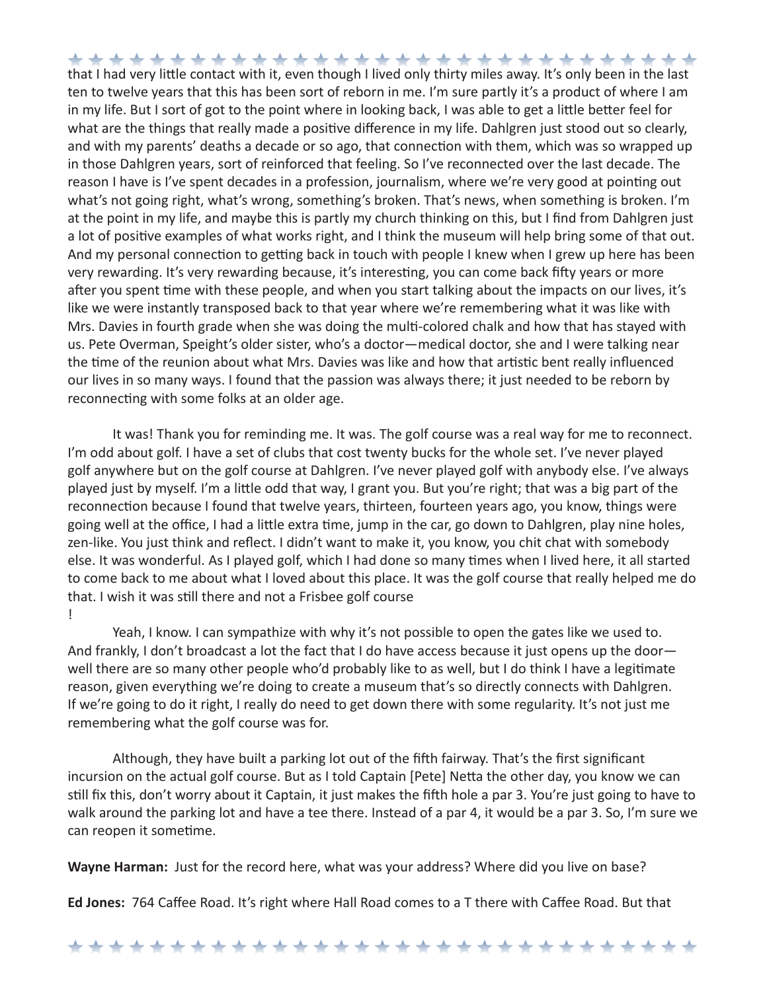that I had very little contact with it, even though I lived only thirty miles away. It's only been in the last ten to twelve years that this has been sort of reborn in me. I'm sure partly it's a product of where I am in my life. But I sort of got to the point where in looking back, I was able to get a little better feel for what are the things that really made a positive difference in my life. Dahlgren just stood out so clearly, and with my parents' deaths a decade or so ago, that connection with them, which was so wrapped up in those Dahlgren years, sort of reinforced that feeling. So I've reconnected over the last decade. The reason I have is I've spent decades in a profession, journalism, where we're very good at pointing out what's not going right, what's wrong, something's broken. That's news, when something is broken. I'm at the point in my life, and maybe this is partly my church thinking on this, but I find from Dahlgren just a lot of positive examples of what works right, and I think the museum will help bring some of that out. And my personal connection to getting back in touch with people I knew when I grew up here has been very rewarding. It's very rewarding because, it's interesting, you can come back fifty years or more after you spent time with these people, and when you start talking about the impacts on our lives, it's like we were instantly transposed back to that year where we're remembering what it was like with Mrs. Davies in fourth grade when she was doing the multi-colored chalk and how that has stayed with us. Pete Overman, Speight's older sister, who's a doctor—medical doctor, she and I were talking near the time of the reunion about what Mrs. Davies was like and how that artistic bent really influenced our lives in so many ways. I found that the passion was always there; it just needed to be reborn by reconnecting with some folks at an older age.

It was! Thank you for reminding me. It was. The golf course was a real way for me to reconnect. I'm odd about golf. I have a set of clubs that cost twenty bucks for the whole set. I've never played golf anywhere but on the golf course at Dahlgren. I've never played golf with anybody else. I've always played just by myself. I'm a little odd that way, I grant you. But you're right; that was a big part of the reconnection because I found that twelve years, thirteen, fourteen years ago, you know, things were going well at the office, I had a little extra time, jump in the car, go down to Dahlgren, play nine holes, zen-like. You just think and reflect. I didn't want to make it, you know, you chit chat with somebody else. It was wonderful. As I played golf, which I had done so many times when I lived here, it all started to come back to me about what I loved about this place. It was the golf course that really helped me do that. I wish it was still there and not a Frisbee golf course !

Yeah, I know. I can sympathize with why it's not possible to open the gates like we used to. And frankly, I don't broadcast a lot the fact that I do have access because it just opens up the doorwell there are so many other people who'd probably like to as well, but I do think I have a legitimate reason, given everything we're doing to create a museum that's so directly connects with Dahlgren. If we're going to do it right, I really do need to get down there with some regularity. It's not just me remembering what the golf course was for.

Although, they have built a parking lot out of the fifth fairway. That's the first significant incursion on the actual golf course. But as I told Captain [Pete] Netta the other day, you know we can still fix this, don't worry about it Captain, it just makes the fifth hole a par 3. You're just going to have to walk around the parking lot and have a tee there. Instead of a par 4, it would be a par 3. So, I'm sure we can reopen it sometime.

**Wayne Harman:** Just for the record here, what was your address? Where did you live on base?

**Ed Jones:** 764 Caffee Road. It's right where Hall Road comes to a T there with Caffee Road. But that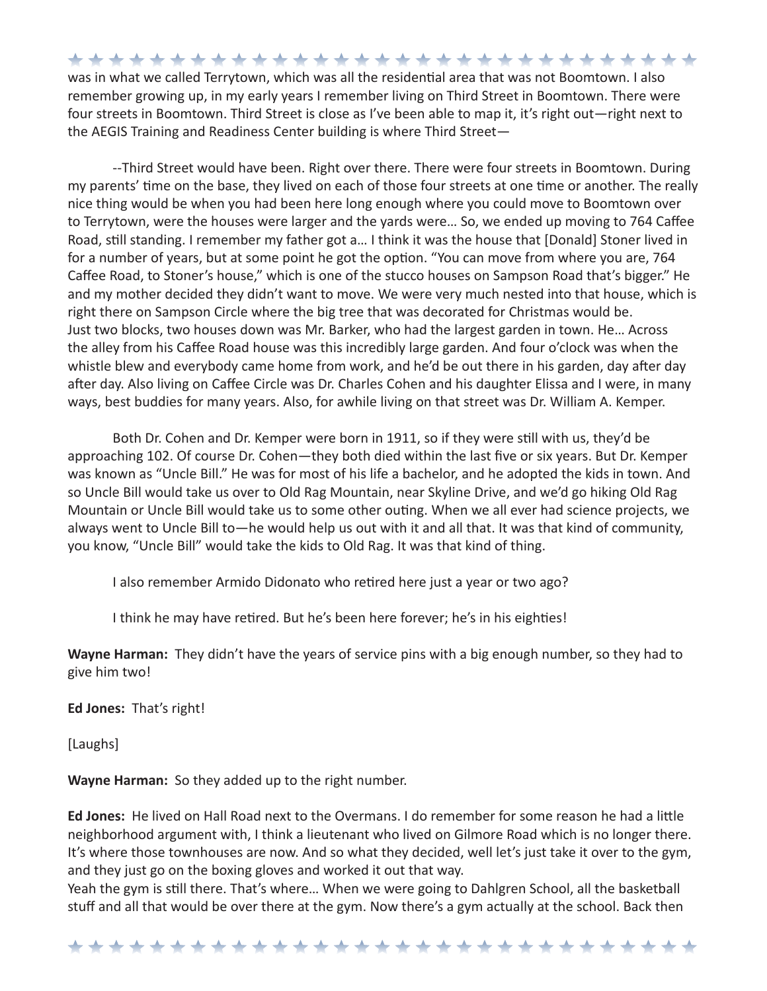\*\*\*\*\*\*\*\*\*\*\*\*\*\*\*\*\*\*\*\*\*\*\*\*\*\*\*\*\*\*\* was in what we called Terrytown, which was all the residential area that was not Boomtown. I also remember growing up, in my early years I remember living on Third Street in Boomtown. There were four streets in Boomtown. Third Street is close as I've been able to map it, it's right out—right next to the AEGIS Training and Readiness Center building is where Third Street—

--Third Street would have been. Right over there. There were four streets in Boomtown. During my parents' time on the base, they lived on each of those four streets at one time or another. The really nice thing would be when you had been here long enough where you could move to Boomtown over to Terrytown, were the houses were larger and the yards were… So, we ended up moving to 764 Caffee Road, still standing. I remember my father got a… I think it was the house that [Donald] Stoner lived in for a number of years, but at some point he got the option. "You can move from where you are, 764 Caffee Road, to Stoner's house," which is one of the stucco houses on Sampson Road that's bigger." He and my mother decided they didn't want to move. We were very much nested into that house, which is right there on Sampson Circle where the big tree that was decorated for Christmas would be. Just two blocks, two houses down was Mr. Barker, who had the largest garden in town. He… Across the alley from his Caffee Road house was this incredibly large garden. And four o'clock was when the whistle blew and everybody came home from work, and he'd be out there in his garden, day after day after day. Also living on Caffee Circle was Dr. Charles Cohen and his daughter Elissa and I were, in many ways, best buddies for many years. Also, for awhile living on that street was Dr. William A. Kemper.

Both Dr. Cohen and Dr. Kemper were born in 1911, so if they were still with us, they'd be approaching 102. Of course Dr. Cohen—they both died within the last five or six years. But Dr. Kemper was known as "Uncle Bill." He was for most of his life a bachelor, and he adopted the kids in town. And so Uncle Bill would take us over to Old Rag Mountain, near Skyline Drive, and we'd go hiking Old Rag Mountain or Uncle Bill would take us to some other outing. When we all ever had science projects, we always went to Uncle Bill to—he would help us out with it and all that. It was that kind of community, you know, "Uncle Bill" would take the kids to Old Rag. It was that kind of thing.

I also remember Armido Didonato who retired here just a year or two ago?

I think he may have retired. But he's been here forever; he's in his eighties!

**Wayne Harman:** They didn't have the years of service pins with a big enough number, so they had to give him two!

**Ed Jones:** That's right!

[Laughs]

**Wayne Harman:** So they added up to the right number.

**Ed Jones:** He lived on Hall Road next to the Overmans. I do remember for some reason he had a little neighborhood argument with, I think a lieutenant who lived on Gilmore Road which is no longer there. It's where those townhouses are now. And so what they decided, well let's just take it over to the gym, and they just go on the boxing gloves and worked it out that way.

Yeah the gym is still there. That's where… When we were going to Dahlgren School, all the basketball stuff and all that would be over there at the gym. Now there's a gym actually at the school. Back then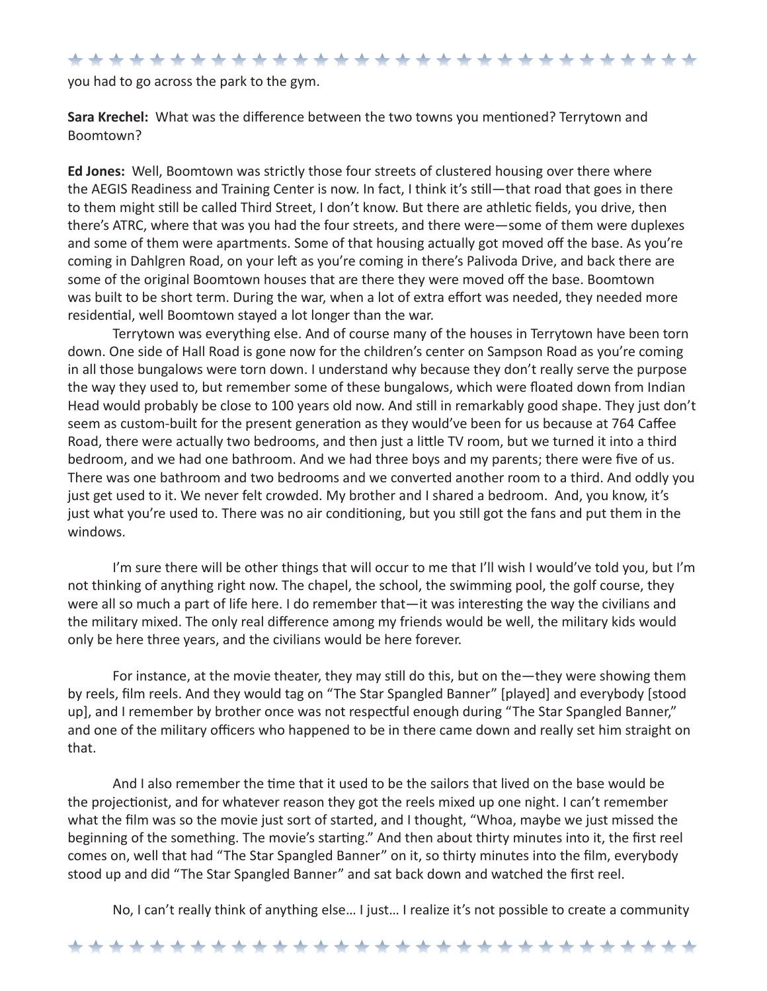### \*\*\*\*\*\*\*\*\*\*\*\*\*\*\*\*\*\*\*\*\*\*\*\*\*\*\*\*\*\*

you had to go across the park to the gym.

**Sara Krechel:** What was the difference between the two towns you mentioned? Terrytown and Boomtown?

**Ed Jones:** Well, Boomtown was strictly those four streets of clustered housing over there where the AEGIS Readiness and Training Center is now. In fact, I think it's still—that road that goes in there to them might still be called Third Street, I don't know. But there are athletic fields, you drive, then there's ATRC, where that was you had the four streets, and there were—some of them were duplexes and some of them were apartments. Some of that housing actually got moved off the base. As you're coming in Dahlgren Road, on your left as you're coming in there's Palivoda Drive, and back there are some of the original Boomtown houses that are there they were moved off the base. Boomtown was built to be short term. During the war, when a lot of extra effort was needed, they needed more residential, well Boomtown stayed a lot longer than the war.

Terrytown was everything else. And of course many of the houses in Terrytown have been torn down. One side of Hall Road is gone now for the children's center on Sampson Road as you're coming in all those bungalows were torn down. I understand why because they don't really serve the purpose the way they used to, but remember some of these bungalows, which were floated down from Indian Head would probably be close to 100 years old now. And still in remarkably good shape. They just don't seem as custom-built for the present generation as they would've been for us because at 764 Caffee Road, there were actually two bedrooms, and then just a little TV room, but we turned it into a third bedroom, and we had one bathroom. And we had three boys and my parents; there were five of us. There was one bathroom and two bedrooms and we converted another room to a third. And oddly you just get used to it. We never felt crowded. My brother and I shared a bedroom. And, you know, it's just what you're used to. There was no air conditioning, but you still got the fans and put them in the windows.

I'm sure there will be other things that will occur to me that I'll wish I would've told you, but I'm not thinking of anything right now. The chapel, the school, the swimming pool, the golf course, they were all so much a part of life here. I do remember that—it was interesting the way the civilians and the military mixed. The only real difference among my friends would be well, the military kids would only be here three years, and the civilians would be here forever.

For instance, at the movie theater, they may still do this, but on the—they were showing them by reels, film reels. And they would tag on "The Star Spangled Banner" [played] and everybody [stood up], and I remember by brother once was not respectful enough during "The Star Spangled Banner," and one of the military officers who happened to be in there came down and really set him straight on that.

And I also remember the time that it used to be the sailors that lived on the base would be the projectionist, and for whatever reason they got the reels mixed up one night. I can't remember what the film was so the movie just sort of started, and I thought, "Whoa, maybe we just missed the beginning of the something. The movie's starting." And then about thirty minutes into it, the first reel comes on, well that had "The Star Spangled Banner" on it, so thirty minutes into the film, everybody stood up and did "The Star Spangled Banner" and sat back down and watched the first reel.

No, I can't really think of anything else… I just… I realize it's not possible to create a community